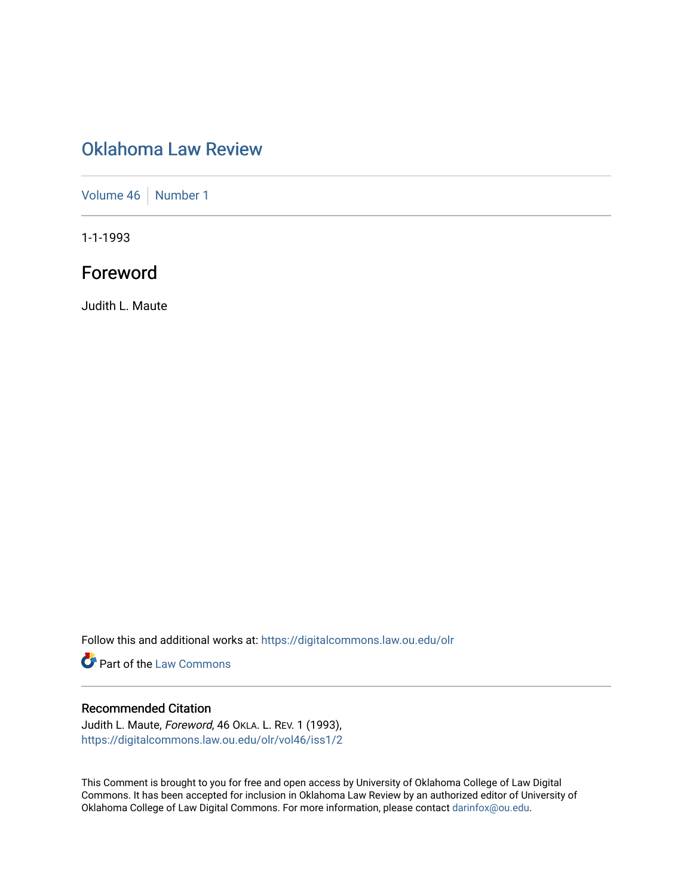# [Oklahoma Law Review](https://digitalcommons.law.ou.edu/olr)

[Volume 46](https://digitalcommons.law.ou.edu/olr/vol46) [Number 1](https://digitalcommons.law.ou.edu/olr/vol46/iss1)

1-1-1993

# Foreword

Judith L. Maute

Follow this and additional works at: [https://digitalcommons.law.ou.edu/olr](https://digitalcommons.law.ou.edu/olr?utm_source=digitalcommons.law.ou.edu%2Folr%2Fvol46%2Fiss1%2F2&utm_medium=PDF&utm_campaign=PDFCoverPages)

**Part of the [Law Commons](http://network.bepress.com/hgg/discipline/578?utm_source=digitalcommons.law.ou.edu%2Folr%2Fvol46%2Fiss1%2F2&utm_medium=PDF&utm_campaign=PDFCoverPages)** 

## Recommended Citation

Judith L. Maute, Foreword, 46 OKLA. L. REV. 1 (1993), [https://digitalcommons.law.ou.edu/olr/vol46/iss1/2](https://digitalcommons.law.ou.edu/olr/vol46/iss1/2?utm_source=digitalcommons.law.ou.edu%2Folr%2Fvol46%2Fiss1%2F2&utm_medium=PDF&utm_campaign=PDFCoverPages) 

This Comment is brought to you for free and open access by University of Oklahoma College of Law Digital Commons. It has been accepted for inclusion in Oklahoma Law Review by an authorized editor of University of Oklahoma College of Law Digital Commons. For more information, please contact [darinfox@ou.edu.](mailto:darinfox@ou.edu)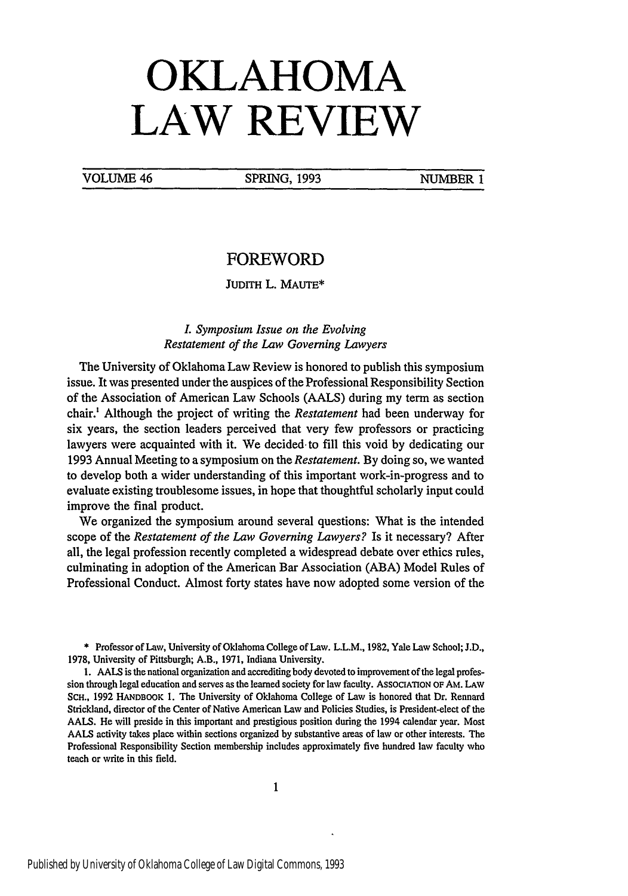# **OKLAHOMA LAW REVIEW**

VOLUME 46 SPRING, 1993 NUMBER 1

## FOREWORD

JUDITH L. MAUTE\*

#### *L Symposium Issue on the Evolving Restatement of the Law Governing Lawyers*

The University of Oklahoma Law Review is honored to publish this symposium issue. It was presented under the auspices of the Professional Responsibility Section of the Association of American Law Schools (AALS) during my term as section chair.' Although the project of writing the *Restatement* had been underway for six years, the section leaders perceived that very few professors or practicing lawyers were acquainted with it. We decided- to fill this void by dedicating our 1993 Annual Meeting to a symposium on the *Restatement.* By doing so, we wanted to develop both a wider understanding of this important work-in-progress and to evaluate existing troublesome issues, in hope that thoughtful scholarly input could improve the final product.

We organized the symposium around several questions: What is the intended scope of the *Restatement of the Law Governing Lawyers?* Is it necessary? After all, the legal profession recently completed a widespread debate over ethics rules, culminating in adoption of the American Bar Association (ABA) Model Rules of Professional Conduct. Almost forty states have now adopted some version of the

\* Professor of Law, University of Oklahoma College of Law. L.L.M., **1982,** Yale Law School; **J.D.,** 1978, University of Pittsburgh; A.B., 1971, Indiana University.

1. AALS is the national organization and accrediting body devoted to improvement of the legal profession through legal education and serves as the learned society for law faculty. AssocIATION OF AM. LAW **SCH.,** 1992 HANDBOOK **1.** The University of Oklahoma College of Law is honored that Dr. Rennard Strickland, director of the Center of Native American Law and Policies Studies, is President-elect of the AALS. He will preside in this important and prestigious position during the 1994 calendar year. Most AALS activity takes place within sections organized by substantive areas of law or other interests. The Professional Responsibility Section membership includes approximately five hundred law faculty who teach or write in this field.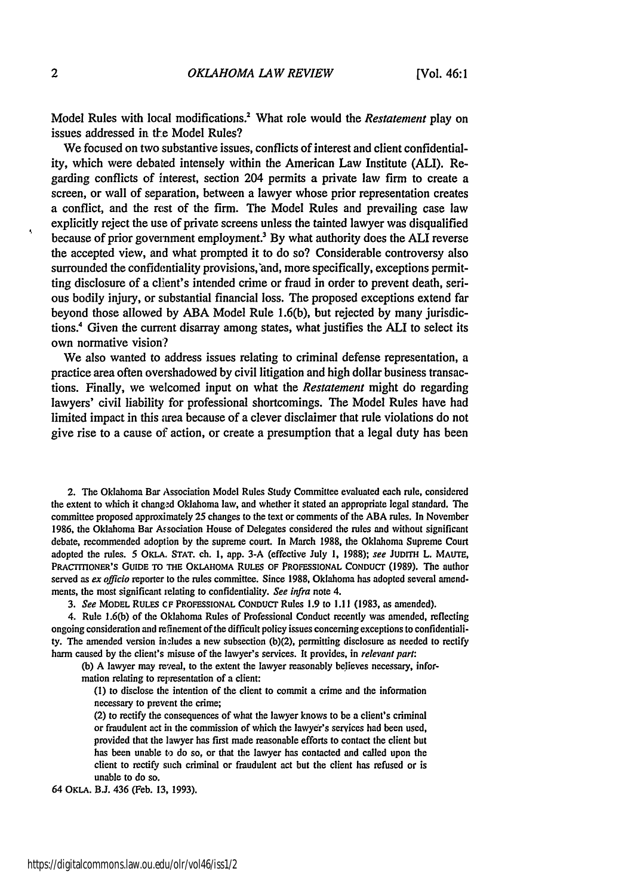Model Rules with local modifications.2 What role would the *Restatement* play on issues addressed in the Model Rules?

We focused on two substantive issues, conflicts of interest and client confidentiality, which were debated intensely within the American Law Institute (ALI). Regarding conflicts of interest, section 204 permits a private law firm to create a screen, or wall of separation, between a lawyer whose prior representation creates a conflict, and the rest of the firm. The Model Rules and prevailing case law explicitly reject the use of private screens unless the tainted lawyer was disqualified because of prior government employment? By what authority does the ALI reverse the accepted view, and what prompted it to do so? Considerable controversy also surrounded the confidentiality provisions,'and, more specifically, exceptions permitting disclosure of a client's intended crime or fraud in order to prevent death, serious bodily injury, or substantial financial loss. The proposed exceptions extend far beyond those allowed by ABA Model Rule 1.6(b), but rejected by many jurisdictions.4 Given the current disarray among states, what justifies the **ALI** to select its own normative vision'?

We also wanted to address issues relating to criminal defense representation, a practice area often overshadowed by civil litigation and high dollar business transactions. Finally, we welcomed input on what the *Restatement* might do regarding lawyers' civil liability for professional shortcomings. The Model Rules have had limited impact in this area because of a clever disclaimer that rule violations do not give rise to a cause of action, or create a presumption that a legal duty has been

2. The Oklahoma Bar Association Model Rules Study Committee evaluated each rule, considered the extent to which it changed Oklahoma law, and whether it stated an appropriate legal standard. The committee proposed approximately 25 changes to the text or comments of the ABA rules. In November 1986, the Oklahoma Bar Association House of Delegates considered the rules and without significant debate, recommended adoption by the supreme court. In March 1988, the Oklahoma Supreme Court adopted the rules. 5 OKLA. STAT. ch. 1, app. 3-A (effective July 1, 1988); *see* **JUDITH** L. MAUTE, **PRACTIONER's GUIDE TO THE OKLAHOMA RULES OF PROFESSIONAL** CONDUcr **(1989).** The author served as *ex officio* reporter to the rules committee. Since **1988,** Oklahoma has adopted several amendments, the most significant ielating to confidentiality. *See infra* note 4.

*3. See* MODEL RULES CF PROFESSIONAL CONDUCr Rules **1.9** to **1.11 (1983,** as amended).

4. Rule **1.6(b)** of the Oklahoma Rules of Professional Conduct recently was amended, reflecting ongoing consideration and refinement of the difficult policy issues concerning exceptions to confidentiality. The amended version includes a new subsection (b)(2), permitting disclosure as needed to rectify harm caused **by** the client's misuse of the lawyer's services. It provides, in *relevant part:*

**(b) A** lawyer may reveal, to the extent the lawyer reasonably believes necessary, information relating to representation of a client:

**(1)** to disclose the intention of the client to commit a crime and the information necessary to prevent the crime;

(2) to rectify the consequences of what the lawyer knows to **be** a client's criminal or fraudulent act in the commission of which the lawyer's services had been used, provided that the lawyer has **first** made reasonable efforts to contact the client but has been unable **to** do so, or that the lawyer has contacted and called upon the client to rectify such criminal or fraudulent act but the client has refused or is unable to do so.

64 **OKLA. BJ.** 436 (Feb. **13, 1993).**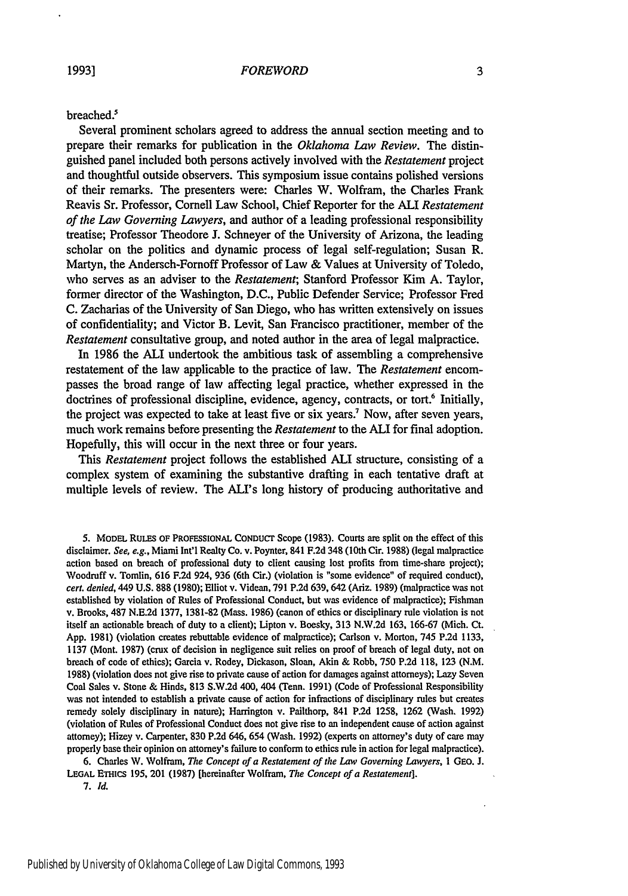#### breached.<sup>5</sup>

Several prominent scholars agreed to address the annual section meeting and to prepare their remarks for publication in the *Oklahoma Law Review.* The distinguished panel included both persons actively involved with the *Restatement* project and thoughtful outside observers. This symposium issue contains polished versions of their remarks. The presenters were: Charles W. Wolfram, the Charles Frank Reavis Sr. Professor, Cornell Law School, Chief Reporter for the **ALI** *Restatement of the Law Governing Lawyers,* and author of a leading professional responsibility treatise; Professor Theodore **J.** Schneyer of the University of Arizona, the leading scholar on the politics and dynamic process of legal self-regulation; Susan R. Martyn, the Andersch-Fornoff Professor of Law **&** Values at University of Toledo, **who** serves as an adviser to the *Restatement;* Stanford Professor Kim **A.** Taylor, former director of the Washington, **D.C.,** Public Defender Service; Professor Fred **C.** Zacharias of the University of San Diego, who has written extensively on issues of confidentiality; and Victor B. Levit, San Francisco practitioner, member of the *Restatement* consultative group, and noted author in the area of legal malpractice.

In **1986** the **ALI** undertook the ambitious task of assembling a comprehensive restatement of the law applicable to the practice of law. The *Restatement* encompasses the broad range of law affecting legal practice, whether expressed in the doctrines of professional discipline, evidence, agency, contracts, or tort.<sup>6</sup> Initially, the project was expected to take at least five or six years. Now, after seven years, much work remains before presenting the *Restatement* to the **ALI** for final adoption. Hopefully, this will occur in the next three or four years.

This *Restatement* project follows the established **ALI** structure, consisting of a complex system of examining the substantive drafting in each tentative draft at multiple levels of review. The ALI's long history of producing authoritative and

**5.** MODEL RULES OF PROFESSIONAL **CONDUCT** Scope **(1983).** Courts **are** split on the effect of this disclaimer. *See, e.g.,* Miami Int'l Realty Co. v. Poynter, 841 **F.2d** 348 (10th Cir. **1988)** (legal malpractice action based on breach of professional duty to client causing lost profits from time-share project); Woodruff v. Tomlin, **616 F.2d** 924, **936** (6th Cir.) (violation is "some evidence" of required conduct), *cert. denied,* 449 **U.S. 888 (1980);** Elliot v. Videan, **791 P.2d 639,642** (Ariz. **1989)** (malpractice was not established **by** violation of Rules of Professional Conduct, but was evidence of malpractice); Fishman v. Brooks, 487 **N.E.2d 1377, 1381-82** (Mass. **1986)** (canon of ethics or disciplinary rule violation is not itself an actionable breach of duty to a client); Lipton v. Boesky, **313 N.W.2d 163, 166-67** (Mich. Ct. **App. 1981)** (violation creates rebuttable evidence of malpractice); Carlson v. Morton, 745 **P.2d 1133, 1137** (Mont. **1987)** (crux of decision in negligence suit relies on proof of breach of legal duty, not on breach of code of ethics); Garcia v. Rodey, Dickason, Sloan, Akin **&** Robb, **750 P.2d 118, 123 (N.M. 1988)** (violation does not give rise to private cause of action for damages against attorneys); Lazy Seven Coal Sales v. Stone **&** Hinds, **813 S.W.2d** 400, 404 (Tenn. **1991)** (Code of Professional Responsibility was not intended to establish a private cause of action for infractions of disciplinary rules but creates remedy solely disciplinary in nature); Harington v. Pailthorp, 841 **P.2d** 1258, **1262** (Wash. **1992)** (violation of Rules of Professional Conduct does not give rise to an independent cause of action against attorney); Hizey v. Carpenter, **830 P.2d** 646, 654 (Wash. **1992)** (experts on attorney's duty of care may properly base their opinion **on** attorney's failure to conform to ethics rule in action for legal malpractice).

**6.** Charles **W.** Wolfram, *The Concept of a Restatement of the Law Governing Lawyers,* **I GeO. J. LEGAL** ETHics **195,** 201 **(1987)** [hereinafter Wolfram, *The Concept of a Restatement].* **7.** *Id.*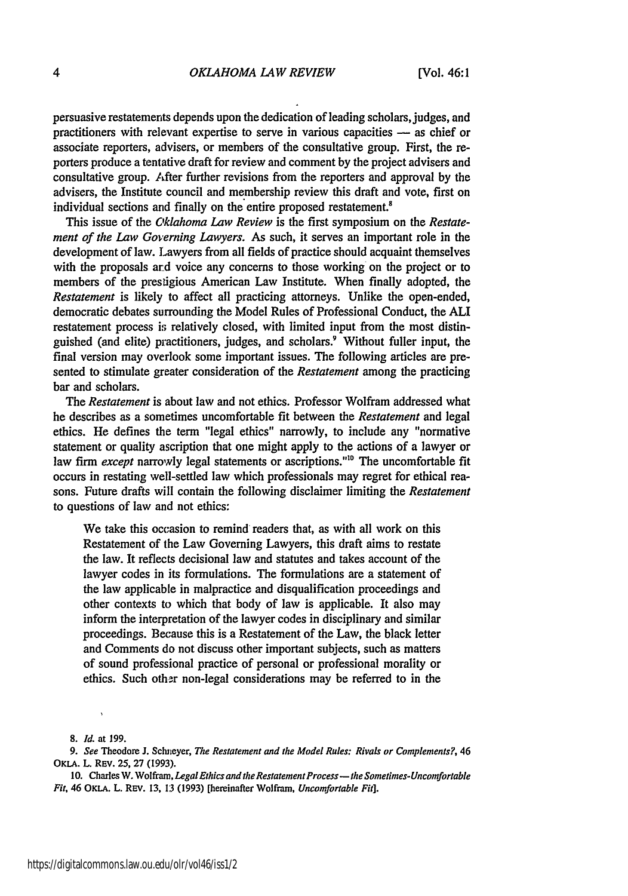persuasive restatements depends upon the dedication of leading scholars, judges, and practitioners with relevant expertise to serve in various capacities - as chief or associate reporters, advisers, or members of the consultative group. First, the reporters produce a tentative draft for review and comment by the project advisers and consultative group. After further revisions from the reporters and approval by the advisers, the Institute council and membership review this draft and vote, first on individual sections and finally on the entire proposed restatement.<sup>8</sup>

This issue of the *Oklahoma Law Review* is the first symposium on the *Restatement of the Law Governing Lawyers.* As such, it serves an important role in the development of law. Lawyers from all fields of practice should acquaint themselves with the proposals ard voice any concerns to those working on the project or to members of the prestigious American Law Institute. When finally adopted, the *Restatement* is likely to affect all practicing attorneys. Unlike the open-ended, democratic debates surrounding the Model Rules of Professional Conduct, the **ALI** restatement process is relatively closed, with limited input from the most distinguished (and elite) practitioners, judges, and scholars.<sup>9</sup> Without fuller input, the final version may overlook some important issues. The following articles are presented to stimulate greater consideration of the *Restatement* among the practicing bar and scholars.

*The Restatement* is about law and not ethics. Professor Wolfram addressed what he describes as a sometimes uncomfortable fit between the *Restatement* and legal ethics. He defines the term "legal ethics" narrowly, to include any "normative statement or quality ascription that one might apply to the actions of a lawyer or law firm *except* narrowly legal statements or ascriptions."<sup>10</sup> The uncomfortable fit occurs in restating well-settled law which professionals may regret for ethical reasons. Future drafts will contain the following disclaimer limiting the *Restatement* to questions of law and not ethics:

We take this occasion to remind readers that, as with all work on this Restatement of the Law Governing Lawyers, this draft aims to restate the law. It reflects decisional law and statutes and takes account of the lawyer codes in its formulations. The formulations are a statement of the law applicable in malpractice and disqualification proceedings and other contexts to which that body of law is applicable. It also may inform the interpretation of the lawyer codes in disciplinary and similar proceedings. Because this is a Restatement of the Law, the black letter and Comments do not discuss other important subjects, such as matters of sound professional practice of personal or professional morality or ethics. Such other non-legal considerations may be referred to in the

**8.** *Id.* at **199.**

*9. See* Theodore **J. Schneyer,** *The Restatement and the Model Rules: Rivals or Complements?, 46* **OKLA.** L. **REV.** *25,* **27 (1993).**

**10.** Charles W. Wolfram, *Legal Ethics and the Restatement Process- the Sometimes-Uncomfortable Fit,* 46 OKLA. L. **REv. 13, 13 (1993)** [hereinafter Wolfram, *Uncomfortable Fit].*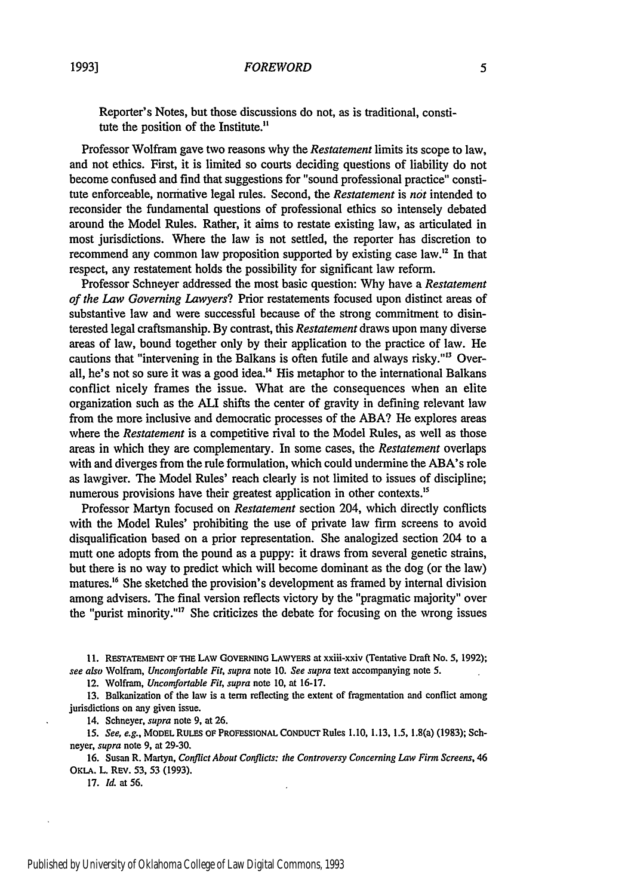Reporter's Notes, but those discussions do not, as is traditional, constitute the position of the Institute."

Professor Wolfram gave two reasons why the *Restatement* limits its scope to law, and not ethics. First, it is limited so courts deciding questions of liability do not become confused and find that suggestions for "sound professional practice" constitute enforceable, normative legal rules. Second, the *Restatement* is *not* intended to reconsider the fundamental questions of professional ethics so intensely debated around the Model Rules. Rather, it aims to restate existing law, as articulated in most jurisdictions. Where the law is not settled, the reporter has discretion to recommend any common law proposition supported by existing case law." In that respect, any restatement holds the possibility for significant law reform.

Professor Schneyer addressed the most basic question: Why have a *Restatement of the Law Governing Lawyers?* Prior restatements focused upon distinct areas of substantive law and were successful because of the strong commitment to disinterested legal craftsmanship. By contrast, this *Restatement* draws upon many diverse areas of law, bound together only by their application to the practice of law. He cautions that "intervening in the Balkans is often futile and always risky."'3 Overall, he's not so sure it was a good idea.<sup>14</sup> His metaphor to the international Balkans conflict nicely frames the issue. What are the consequences when an elite organization such as the ALI shifts the center of gravity in defining relevant law from the more inclusive and democratic processes of the ABA? He explores areas where the *Restatement* is a competitive rival to the Model Rules, as well as those areas in which they are complementary. In some cases, the *Restatement* overlaps with and diverges from the rule formulation, which could undermine the ABA's role as lawgiver. The Model Rules' reach clearly is not limited to issues of discipline; numerous provisions have their greatest application in other contexts.<sup>15</sup>

Professor Martyn focused on *Restatement* section 204, which directly conflicts with the Model Rules' prohibiting the use of private law firm screens to avoid disqualification based on a prior representation. She analogized section 204 to a mutt one adopts from the pound as a puppy: it draws from several genetic strains, but there is no way to predict which will become dominant as the dog (or the law) matures.<sup>16</sup> She sketched the provision's development as framed by internal division among advisers. The final version reflects victory by the "pragmatic majority" over the "purist minority."17 She criticizes the debate for focusing on the wrong issues

11. **RESTATEMENT OF THE** LAW **GOVERNING** LAWYERS at xxiii-xxiv (Tentative Draft No. **5, 1992);** *see also* Wolfram, *Uncomfortable Fit, supra* note 10. *See supra* text accompanying note 5.

12. Wolfram, *Uncomfortable Fit, supra* note **10,** at 16-17.

13. Balkanization of the law is a term reflecting the extent of fragmentation and conflict among jurisdictions on any given issue.

14. Schneyer, *supra* note 9, at 26.

15. *See, e.g.,* **MODEL RULES** OF PROFESSIONAL CONDUCr Rules **1.10,** 1.13, 1.5, 1.8(a) (1983); Schneyer, *supra* note 9, at 29-30.

16. Susan R. Martyn, *Conflict About Conflicts: the Controversy Concerning Law Firm Screens, 46* OKLA. L. REV. 53, 53 (1993).

17. *Id.* at 56.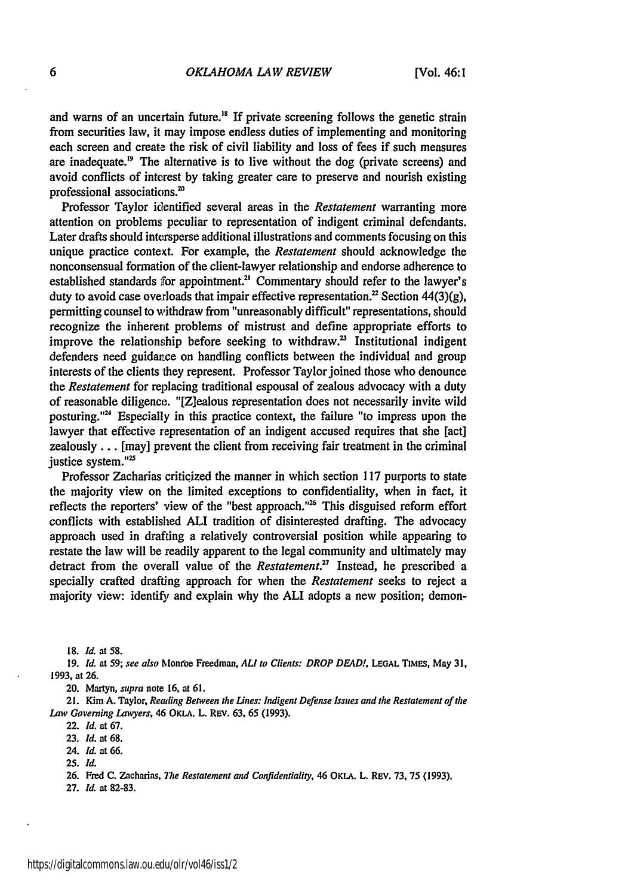and warns of an uncertain future.<sup>18</sup> If private screening follows the genetic strain from securities law, it may impose endless duties of implementing and monitoring each screen and create the risk of civil liability and loss of fees if such measures are inadequate.<sup> $19$ </sup> The alternative is to live without the dog (private screens) and avoid conflicts of interest by taking greater care to preserve and nourish existing professional associations.'

Professor Taylor identified several areas in the *Restatement* warranting more attention on problems peculiar to representation of indigent criminal defendants. Later drafts should intersperse additional illustrations and comments focusing on this unique practice context. For example, the *Restatement* should acknowledge the nonconsensual formation of the client-lawyer relationship and endorse adherence to established standards for appointment.<sup>21</sup> Commentary should refer to the lawyer's duty to avoid case overloads that impair effective representation.<sup>22</sup> Section 44(3)(g), permitting counsel to withdraw from "unreasonably difficult" representations, should recognize the inherent problems of mistrust and define appropriate efforts to improve the relationship before seeking to withdraw.<sup>23</sup> Institutional indigent defenders need guidance on handling conflicts between the individual and group interests of the clients they represent. Professor Taylor joined those who denounce *the Restatement* for replacing traditional espousal of zealous advocacy with a duty of reasonable diligence. "[Z]ealous representation does not necessarily invite wild posturing." $24$  Especially in this practice context, the failure "to impress upon the lawyer that effective representation of an indigent accused requires that she [act] zealously ... [may] prevent the client from receiving fair treatment in the criminal justice system."<sup>25</sup>

Professor Zacharias criticized the manner in which section 117 purports to state the majority view on the limited exceptions to confidentiality, when in fact, it reflects the reporters' view of the "best approach."<sup>26</sup> This disguised reform effort conflicts with established ALI tradition of disinterested drafting. The advocacy approach used in drafting a relatively controversial position while appearing to restate the law will be readily apparent to the legal community and ultimately may detract from the overall value of the *Restatement."* Instead, he prescribed a specially crafted drafting approach for when the *Restatement* seeks to reject a majority view: identify and explain why the ALI adopts a new position; demon-

**18.** *Id* at **58.**

**19.** *Id.* at 59; see also Mon'oe Freedman, *ALl to* Clients: *DROP DEAD!,* **LEGAL TIMES,** May **31,** 1993, at **26.**

20. Martyn, *supra* note **16,** at **61.**

**21.** Kim **A.** Taylor, Reading Between the Lines: Indigent Defense Issues and the Restatement of the *Law* Governing Lawyers, 46 **OKLA. L. Rev. 63, 65 (1993).**

22. *Id.* at **67.**

**23.** *Id.* at **68.**

24. *Id.* at 66.

**25.** *Id.*

**26.** Fred **C.** Zacharins, **7e** Restatement and Confidentiality, 46 **OKLA. L. REv. 73, 75** (1993).

**27. Id** at 82-83.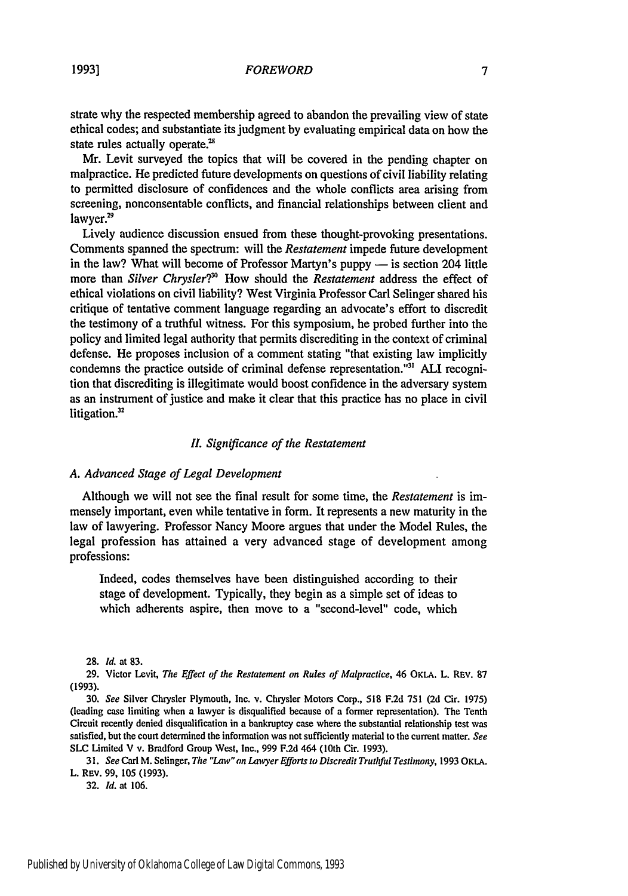strate why the respected membership agreed to abandon the prevailing view of state ethical codes; and substantiate its judgment by evaluating empirical data on how the state rules actually operate.<sup>28</sup>

Mr. Levit surveyed the topics that will be covered in the pending chapter on malpractice. He predicted future developments on questions of civil liability relating to permitted disclosure of confidences and the whole conflicts area arising from screening, nonconsentable conflicts, and financial relationships between client and lawyer.<sup>29</sup>

Lively audience discussion ensued from these thought-provoking presentations. Comments spanned the spectrum: will the *Restatement* impede future development in the law? What will become of Professor Martyn's puppy  $-$  is section 204 little more than *Silver Chrysler?*<sup>30</sup> How should the *Restatement* address the effect of ethical violations on civil liability? West Virginia Professor Carl Selinger shared his critique of tentative comment language regarding an advocate's effort to discredit the testimony of a truthful witness. For this symposium, he probed further into the policy and limited legal authority that permits discrediting in the context of criminal defense. He proposes inclusion of a comment stating "that existing law implicitly condemns the practice outside of criminal defense representation."'" **ALI** recognition that discrediting is illegitimate would boost confidence in the adversary system as an instrument of justice and make it clear that this practice has no place in civil litigation.<sup>32</sup>

#### *I. Significance of the Restatement*

#### *A. Advanced Stage of Legal Development*

Although we will not see the final result for some time, the *Restatement* is immensely important, even while tentative in form. It represents a new maturity in the law of lawyering. Professor Nancy Moore argues that under the Model Rules, the legal profession has attained a very advanced stage of development among professions:

Indeed, codes themselves have been distinguished according to their stage of development. Typically, they begin as a simple set of ideas to which adherents aspire, then move to a "second-level" code, which

**28.** *Id.* at **83.**

29. Victor Levit, *The Effect of the Restatement on Rules of Malpractice,* 46 OKLA. L. REv. 87 (1993).

**30.** *See* Silver Chrysler Plymouth, Inc. v. Chrysler Motors Corp., 518 F.2d 751 (2d Cir. 1975) (leading case limiting when a lawyer is disqualified because of a former representation). The Tenth Circuit recently denied disqualification in a bankruptcy case where the substantial relationship test was satisfied, but the court determined the information was not sufficiently material to the current matter. *See* **SLC** Limited V v. Bradford Group West, Inc., 999 F.2d 464 (10th Cir. 1993).

*31. See* Carl M. Selinger, *The "Law"on Lawyer Efforts to Discredit Truthful Testimony,* 1993 OKLA. L. REv. 99, 105 (1993).

32. *Id.* at 106.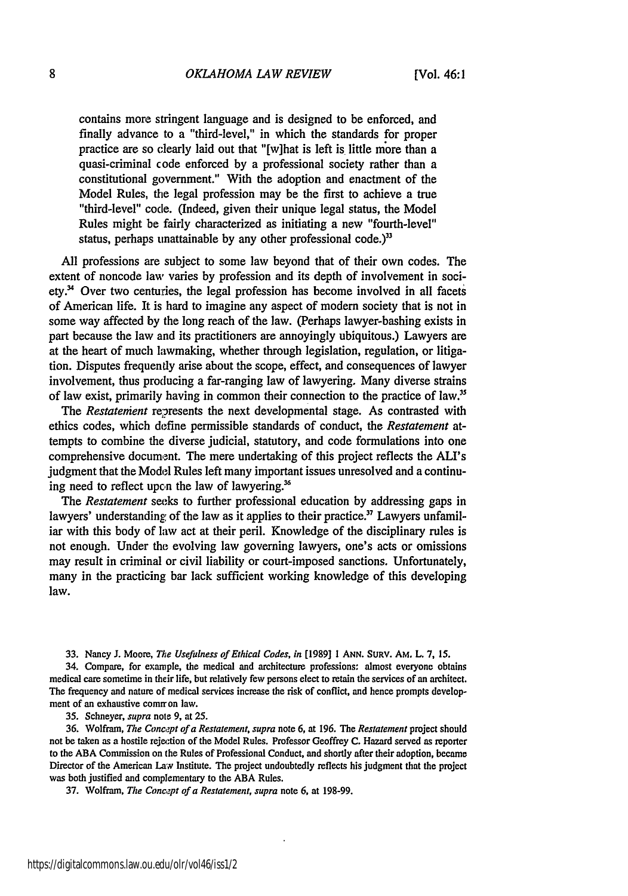contains more stringent language and is designed to be enforced, and finally advance to a "third-level," in which the standards for proper practice are so clearly laid out that "[w]hat is left is little more than a quasi-criminal code enforced by a professional society rather than a constitutional government." With the adoption and enactment of the Model Rules, the legal profession may be the first to achieve a true "third-level" code. (Indeed, given their unique legal status, the Model Rules might be fairly characterized as initiating a new "fourth-level" status, perhaps unattainable by any other professional code.) $33$ 

All professions are subject to some law beyond that of their own codes. The extent of noncode law varies by profession and its depth of involvement in soci $ety.^{34}$  Over two centuries, the legal profession has become involved in all facets of American life. It is hard to imagine any aspect of modem society that is not in some way affected by the long reach of the law. (Perhaps lawyer-bashing exists in part because the law and its practitioners are annoyingly ubiquitous.) Lawyers are at the heart of much lawmaking, whether through legislation, regulation, or litigation. Disputes frequently arise about the scope, effect, and consequences of lawyer involvement, thus producing a far-ranging law of lawyering. Many diverse strains of law exist, primarily having in common their connection to the practice of law."

*The Restatement* represents the next developmental stage. As contrasted with ethics codes, which define permissible standards of conduct, the *Restatement* attempts to combine the diverse judicial, statutory, and code formulations into one comprehensive document. The mere undertaking of this project reflects the ALI's judgment that the Model Rules left many important issues unresolved and a continuing need to reflect upcn the law of lawyering.'

The *Restatement* seeks to further professional education by addressing gaps in lawyers' understanding of the law as it applies to their practice.<sup>37</sup> Lawyers unfamiliar with this body of law act at their peril. Knowledge of the disciplinary rules is not enough. Under the evolving law governing lawyers, one's acts or omissions may result in criminal or civil liability or court-imposed sanctions. Unfortunately, many in the practicing bar lack sufficient working knowledge of this developing law.

**33.** Nancy **J.** Moore, *The Usefulness of Ethical Codes, in* **[1989] 1 ANN. SURV.** AM. **L. 7, 15.**

34. Compare, for example, the medical and architecture professions: almost everyone obtains medical care sometime in their life, but relatively few persons elect to retain the services of an architect. The frequency and nature of medical services increase the risk of conflict, and hence prompts development of an exhaustive common law.

35. Schneyer, *supra* note 9, at 25.

36. Wolfram, *The Concept of a Restatement, supra* note 6, at 196. The *Restatement* project should not be taken as a hostile rejection of the Model Rules. Professor Geoffrey **C.** Hazard served as reporter to the ABA Commission on the Rules of Professional Conduct, and shortly after their adoption, became Director of the American Law Institute. The project undoubtedly reflects his judgment that the project was both justified and complementary to the ABA Rules.

37. Wolfram, *The Concept of a Restatement, supra* note 6, at 198-99.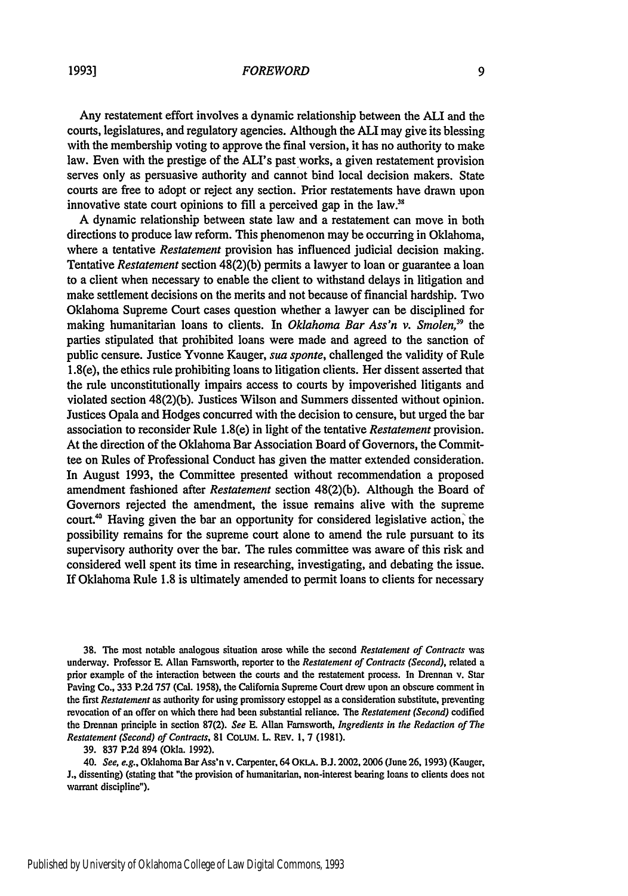Any restatement effort involves a dynamic relationship between the **ALI** and the courts, legislatures, and regulatory agencies. Although the ALI may give its blessing with the membership voting to approve the final version, it has no authority to make law. Even with the prestige of the ALI's pastworks, a given restatement provision serves only as persuasive authority and cannot bind local decision makers. State courts are free to adopt or reject any section. Prior restatements have drawn upon innovative state court opinions to fill a perceived gap in the law. $38$ 

A dynamic relationship between state law and a restatement can move in both directions to produce law reform. This phenomenon may be occurring in Oklahoma, where a tentative *Restatement* provision has influenced judicial decision making. Tentative *Restatement* section 48(2)(b) permits a lawyer to loan or guarantee a loan to a client when necessary to enable the client to withstand delays in litigation and make settlement decisions on the merits and not because of financial hardship. Two Oklahoma Supreme Court cases question whether a lawyer can be disciplined for making humanitarian loans to clients. In *Oklahoma Bar Ass'n v. Smolen,39* the parties stipulated that prohibited loans were made and agreed to the sanction of public censure. Justice Yvonne Kauger, *sua sponte,* challenged the validity of Rule 1.8(e), the ethics rule prohibiting loans to litigation clients. Her dissent asserted that the rule unconstitutionally impairs access to courts by impoverished litigants and violated section 48(2)(b). Justices Wilson and Summers dissented without opinion. Justices Opala and Hodges concurred with the decision to censure, but urged the bar association to reconsider Rule 1.8(e) in light of the tentative *Restatement* provision. At the direction of the Oklahoma Bar Association Board of Governors, the Committee on Rules of Professional Conduct has given the matter extended consideration. In August 1993, the Committee presented without recommendation a proposed amendment fashioned after *Restatement* section 48(2)(b). Although the Board of Governors rejected the amendment, the issue remains alive with the supreme court.<sup>40</sup> Having given the bar an opportunity for considered legislative action, the possibility remains for the supreme court alone to amend the rule pursuant to its supervisory authority over the bar. The rules committee was aware of this risk and considered well spent its time in researching, investigating, and debating the issue. If Oklahoma Rule 1.8 is ultimately amended to permit loans to clients for necessary

38. The most notable analogous situation arose while the second *Restatement of Contracts was* underway. Professor E. Allan Farnsworth, reporter to the *Restatement of Contracts (Second),* related a prior example of the interaction between the courts and the restatement process. In Drennan v. Star Paving Co., 333 P.2d 757 (Cal. 1958), the California Supreme Court drew upon an obscure comment in the first *Restatement* as authority for using promissory estoppel as a consideration substitute, preventing revocation of an offer on which there had been substantial reliance. The *Restatement (Second)* codified the Drennan principle in section 87(2). *See* E. Allan Farnsworth, *Ingredients in the Redaction of The Restatement (Second) of Contracts,* 81 CoLUM. L. REV. 1, 7 (1981).

39. 837 P.2d 894 (Okla. 1992).

40. *See, e.g.,* Oklahoma Bar Ass'n v. Carpenter, 64 OKLA. **B.J.** 2002,2006 (June 26, 1993) (Kauger, J., dissenting) (stating that "the provision of humanitarian, non-interest bearing loans to clients does not warrant discipline").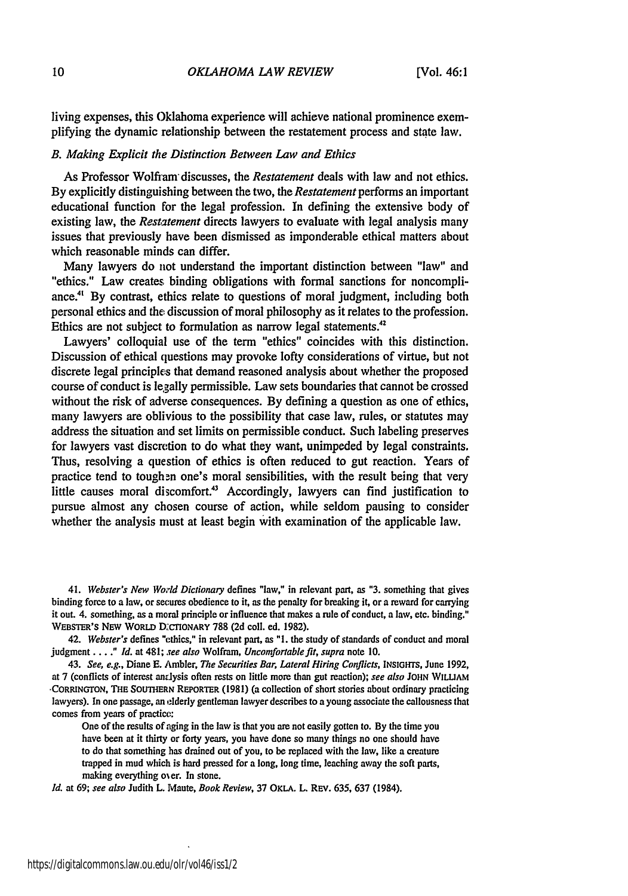living expenses, this Oklahoma experience will achieve national prominence exemplifying the dynamic relationship between the restatement process and state law.

#### *B. Making Explicit the Distinction Between Law and Ethics*

As Professor Wolfram discusses, the *Restatement* deals with law and not ethics. **By** explicitly distinguishing between the two, the *Restatement* performs an important educational function for the legal profession. In defining the extensive body of existing law, the *Restatement* directs lawyers to evaluate with legal analysis many issues that previously have been dismissed as imponderable ethical matters about which reasonable minds can differ.

Many lawyers do not understand the important distinction between "law" and "ethics." Law creates binding obligations with formal sanctions for noncompliance.<sup>41</sup> By contrast, ethics relate to questions of moral judgment, including both personal ethics and the discussion of moral philosophy as it relates to the profession. Ethics are not subject to formulation as narrow legal statements.<sup>42</sup>

Lawyers' colloquial use of the term "ethics" coincides with this distinction. Discussion of ethical questions may provoke lofty considerations of virtue, but not discrete legal principles that demand reasoned analysis about whether the proposed course of conduct is legally permissible. Law sets boundaries that cannot be crossed without the risk of adverse consequences. **By** defining a question as one of ethics, many lawyers are oblivious to the possibility that case law, rules, or statutes may address the situation and set limits on permissible conduct. Such labeling preserves for lawyers vast discretion to do what they want, unimpeded **by** legal constraints. Thus, resolving a question of ethics is often reduced to gut reaction. Years of practice tend to toughen one's moral sensibilities, with the result being that very little causes moral discomfort.<sup>43</sup> Accordingly, lawyers can find justification to pursue almost any chosen course of action, while seldom pausing to consider whether the analysis must at least begin with examination of the applicable law.

41. *Webster's New World Dictionary* defines "law," in relevant part, as **"3.** something that gives binding force to a law, or secures obedience to it, as the penalty for breaking it, or a reward for carrying it out. 4. something, as a moral principle or influence that makes a rule of conduct, a law, etc. binding." WEBSTER'S NEW WORLD DCCTIONARY 788 (2d coll. ed. 1982).

42. *Webster's* defines "ethics," in relevant part, as **"I.** the study of standards of conduct and moral judgment *.. " Id.* at 481; *see also* Wolfram, *Uncomfortable fit, supra* note **10.**

43. *See, e.g.,* Diane **E.** Ambler, *The Securities Bar, Lateral Hiring Conflicts,* **INSIGHTS,** June **1992,** at **7** (conflicts of interest antlysis often rests on little more than gut reaction); *see also* **JOHN WILuAM •CORRINGTON, THE** SOUTHERN REPORTER **(1981)** (a collection of short stories about ordinary practicing lawyers). In one passage, an elderly gentleman lawyer describes to a young associate the callousness that comes from years of practice:

One of the results of aging in the law is that you are not easily gotten to. **By** the time you have been at it thirty or forty years, you have done so many things no one should have to do that something has drained out of you, to **be** replaced with the law, like a creature trapped in mud which is hard pressed for a long, long time, leaching away the soft parts, making everything oier. **In** stone.

*Id.* at **69;** *see also* **Judith** L. Maute, *Book Review,* **37** OKLA. L. REv. **635, 637** (1984).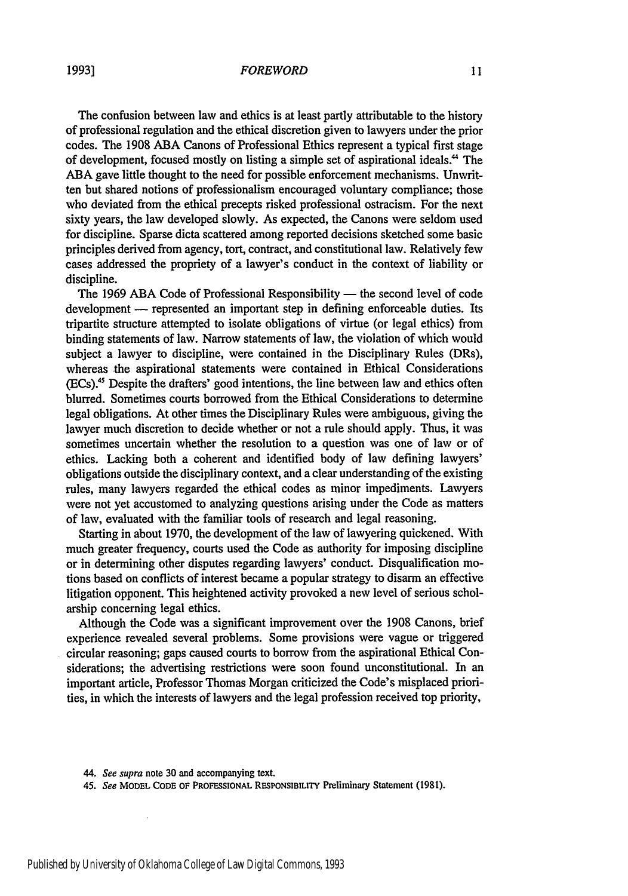The confusion between law and ethics is at least partly attributable to the history of professional regulation and the ethical discretion given to lawyers under the prior codes. The 1908 ABA Canons of Professional Ethics represent a typical first stage of development, focused mostly on listing a simple set of aspirational ideals." The **ABA** gave little thought to the need for possible enforcement mechanisms. Unwritten but shared notions of professionalism encouraged voluntary compliance; those who deviated from the ethical precepts risked professional ostracism. For the next sixty years, the law developed slowly. As expected, the Canons were seldom used for discipline. Sparse dicta scattered among reported decisions sketched some basic principles derived from agency, tort, contract, and constitutional law. Relatively few cases addressed the propriety of a lawyer's conduct in the context of liability or discipline.

The 1969 ABA Code of Professional Responsibility — the second level of code development - represented an important step in defining enforceable duties. Its tripartite structure attempted to isolate obligations of virtue (or legal ethics) from binding statements of law. Narrow statements of law, the violation of which would subject a lawyer to discipline, were contained in the Disciplinary Rules (DRs), whereas the aspirational statements were contained in Ethical Considerations (ECs).4 s Despite the drafters' good intentions, the line between law and ethics often blurred. Sometimes courts borrowed from the Ethical Considerations to determine legal obligations. At other times the Disciplinary Rules were ambiguous, giving the lawyer much discretion to decide whether or not a rule should apply. Thus, it was sometimes uncertain whether the resolution to a question was one of law or of ethics. Lacking both a coherent and identified body of law defining lawyers' obligations outside the disciplinary context, and a clear understanding of the existing rules, many lawyers regarded the ethical codes as minor impediments. Lawyers were not yet accustomed to analyzing questions arising under the Code as matters of law, evaluated with the familiar tools of research and legal reasoning.

Starting in about 1970, the development of the law of lawyering quickened. With much greater frequency, courts used the Code as authority for imposing discipline or in determining other disputes regarding lawyers' conduct. Disqualification motions based on conflicts of interest became a popular strategy to disarm an effective litigation opponent. This heightened activity provoked a new level of serious scholarship concerning legal ethics.

Although the Code was a significant improvement over the 1908 Canons, brief experience revealed several problems. Some provisions were vague or triggered circular reasoning; gaps caused courts to borrow from the aspirational Ethical Considerations; the advertising restrictions were soon found unconstitutional. In an important article, Professor Thomas Morgan criticized the Code's misplaced priorities, in which the interests of lawyers and the legal profession received top priority,

*44.* See supra note **30** and accompanying text.

i,

<sup>45.</sup> See **MODEL CODE** OF PROFESSIONAL RESPONSIBILITY Preliminary Statement **(1981).**